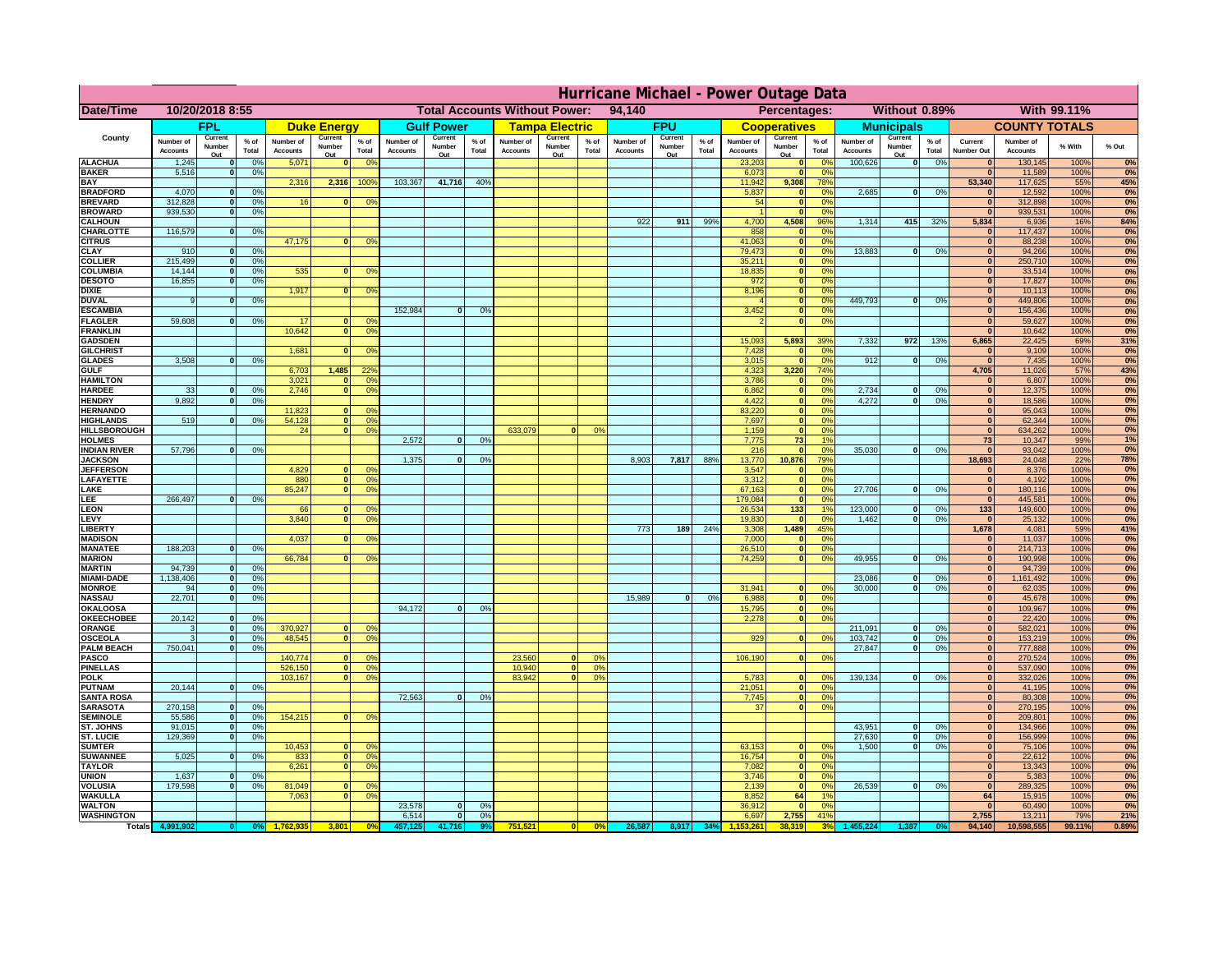|                                         | Hurricane Michael - Power Outage Data |                             |                 |                              |                     |                                                |                              |                    |                |                              |                                              |                 |                       |                   |                 |                              |                      |                                  |                              |                         |                 |                              |                              |              |           |
|-----------------------------------------|---------------------------------------|-----------------------------|-----------------|------------------------------|---------------------|------------------------------------------------|------------------------------|--------------------|----------------|------------------------------|----------------------------------------------|-----------------|-----------------------|-------------------|-----------------|------------------------------|----------------------|----------------------------------|------------------------------|-------------------------|-----------------|------------------------------|------------------------------|--------------|-----------|
| Date/Time                               | 10/20/2018 8:55                       |                             |                 |                              |                     | <b>Total Accounts Without Power:</b><br>94,140 |                              |                    |                |                              | Without 0.89%<br>With 99.11%<br>Percentages: |                 |                       |                   |                 |                              |                      |                                  |                              |                         |                 |                              |                              |              |           |
|                                         |                                       | FPL                         |                 |                              | <b>Duke Energy</b>  |                                                |                              | <b>Gulf Power</b>  |                |                              | <b>Tampa Electric</b>                        |                 |                       | <b>FPU</b>        |                 |                              | <b>Cooperatives</b>  |                                  |                              | <b>Municipals</b>       |                 |                              | <b>COUNTY TOTALS</b>         |              |           |
| County                                  | Number of<br><b>Accounts</b>          | Current<br>Number           | $%$ of<br>Total | Number of<br><b>Accounts</b> | Current<br>Number   | $%$ of<br>Total                                | Number of<br><b>Accounts</b> | Current<br>Number  | % of<br>Total  | Number of<br><b>Accounts</b> | Current<br>Number                            | $%$ of<br>Total | Number of<br>Accounts | Current<br>Number | $%$ of<br>Total | Number of<br><b>Accounts</b> | Current<br>Number    | $%$ of<br>Total                  | Number of<br><b>Accounts</b> | Current<br>Number       | $%$ of<br>Total | Current<br><b>Number Out</b> | Number of<br><b>Accounts</b> | % With       | % Out     |
| <b>ALACHUA</b>                          | 1,245                                 | Out<br>$\mathbf{0}$         | 0%              | 5,071                        | Out<br>$\mathbf{0}$ | 0 <sup>9</sup>                                 |                              | Out                |                |                              | Out                                          |                 |                       | Out               |                 | 23,203                       | Out<br> 0            | 0 <sup>9</sup>                   | 100,626                      | Out<br> 0               | 0%              | $\bf{0}$                     | 130,145                      | 100%         | 0%        |
| <b>BAKER</b>                            | 5,516                                 | 0                           | 0%              |                              |                     |                                                |                              |                    |                |                              |                                              |                 |                       |                   |                 | 6,073                        | 0                    | 0%                               |                              |                         |                 | $\mathbf{0}$                 | 11,589                       | 100%         | 0%        |
| <b>BAY</b><br><b>BRADFORD</b>           | 4,070                                 | $\mathbf{0}$                | 0%              | 2,316                        | 2,316               | 100%                                           | 103,367                      | 41,716             | 40%            |                              |                                              |                 |                       |                   |                 | 11,942<br>5,837              | 9,308<br> 0          | 78%<br>0%                        | 2,685                        | 0                       | 0%              | 53,340<br>$\bf{0}$           | 117,625<br>12,592            | 55%<br>100%  | 45%<br>0% |
| <b>BREVARD</b>                          | 312,828                               | 0                           | 0%              | 16                           | $\mathbf{0}$        | 0 <sup>o</sup>                                 |                              |                    |                |                              |                                              |                 |                       |                   |                 | 54                           | 0                    | 0%                               |                              |                         |                 | $\mathbf{0}$                 | 312,898                      | 100%         | 0%        |
| <b>BROWARD</b>                          | 939.530                               | 0                           | 0%              |                              |                     |                                                |                              |                    |                |                              |                                              |                 |                       |                   |                 |                              | 0                    | 0%                               |                              |                         |                 | $\bf{0}$                     | 939,531                      | 100%         | 0%        |
| <b>CALHOUN</b>                          |                                       |                             |                 |                              |                     |                                                |                              |                    |                |                              |                                              |                 | 922                   | 911               | 99%             | 4,700                        | 4,508                | 96%                              | 1,314                        | 415                     | 32%             | 5,834                        | 6,936                        | 16%          | 84%       |
| CHARLOTTE<br><b>CITRUS</b>              | 116,579                               | 0                           | 0%              | 47,175                       | $\mathbf{0}$        | 0 <sup>o</sup>                                 |                              |                    |                |                              |                                              |                 |                       |                   |                 | 858<br>41,063                | 0 <br> 0             | 0 <sup>9</sup><br>0 <sup>9</sup> |                              |                         |                 | $\bf{0}$                     | 117,437<br>88,238            | 100%<br>100% | 0%<br>0%  |
| <b>CLAY</b>                             | 910                                   | $\mathbf{0}$                | 0%              |                              |                     |                                                |                              |                    |                |                              |                                              |                 |                       |                   |                 | 79,473                       | 0                    | 0 <sup>9</sup>                   | 13,883                       | $\mathbf{0}$            | 0%              | $\bf{0}$                     | 94,266                       | 100%         | 0%        |
| <b>COLLIER</b>                          | 215,499                               | $\mathbf{0}$                | 0 <sup>9</sup>  |                              |                     |                                                |                              |                    |                |                              |                                              |                 |                       |                   |                 | 35,211                       | 0                    | 0%                               |                              |                         |                 | $\bf{0}$                     | 250,710                      | 100%         | 0%        |
| <b>COLUMBIA</b>                         | 14,144<br>16,855                      | $\mathbf 0$<br>$\mathbf{0}$ | 0%              | 535                          | $\mathbf{0}$        | 0 <sup>9</sup>                                 |                              |                    |                |                              |                                              |                 |                       |                   |                 | 18,835<br>972                | 0                    | 0%<br>0%                         |                              |                         |                 | $\bf{0}$<br>$\bf{0}$         | 33,514<br>17,827             | 100%<br>100% | 0%<br>0%  |
| <b>DESOTO</b><br><b>DIXIE</b>           |                                       |                             | 0%              | 1,917                        | $\Omega$            | 0 <sup>9</sup>                                 |                              |                    |                |                              |                                              |                 |                       |                   |                 | 8,196                        | 0 <br> 0             | 0%                               |                              |                         |                 | $\Omega$                     | 10,113                       | 100%         | 0%        |
| <b>DUVAL</b>                            | 9                                     | $\Omega$                    | 0%              |                              |                     |                                                |                              |                    |                |                              |                                              |                 |                       |                   |                 |                              | 0                    | 0%                               | 449.793                      | $\overline{0}$          | 0%              | $\Omega$                     | 449,806                      | 100%         | 0%        |
| <b>ESCAMBIA</b>                         |                                       |                             |                 |                              |                     |                                                | 152,984                      | $\mathbf{0}$       | 0 <sup>9</sup> |                              |                                              |                 |                       |                   |                 | 3,452                        | 0                    | 0%                               |                              |                         |                 | $\Omega$                     | 156,436                      | 100%         | 0%        |
| <b>FLAGLER</b><br><b>FRANKLIN</b>       | 59,608                                | $\overline{0}$              | 0%              | 17<br>10,642                 | $\bf{0}$<br> 0      | 0 <sup>o</sup><br>0 <sup>9</sup>               |                              |                    |                |                              |                                              |                 |                       |                   |                 |                              | 0                    | 0%                               |                              |                         |                 | $\mathbf{0}$<br>$\Omega$     | 59,627<br>10,642             | 100%<br>100% | 0%        |
| <b>GADSDEN</b>                          |                                       |                             |                 |                              |                     |                                                |                              |                    |                |                              |                                              |                 |                       |                   |                 | 15,093                       | 5,893                | 39%                              | 7,332                        | 972                     | 13%             | 6,865                        | 22,425                       | 69%          | 0%<br>31% |
| <b>GILCHRIST</b>                        |                                       |                             |                 | 1,681                        | $\mathbf{0}$        | 0 <sup>9</sup>                                 |                              |                    |                |                              |                                              |                 |                       |                   |                 | 7,428                        | 0                    | 0%                               |                              |                         |                 | $\mathbf{0}$                 | 9,109                        | 100%         | 0%        |
| <b>GLADES</b>                           | 3,508                                 | 0                           | 0%              |                              |                     |                                                |                              |                    |                |                              |                                              |                 |                       |                   |                 | 3,015                        | 0                    | 0%                               | 912                          | $\overline{0}$          | 0%              | 0                            | 7,435                        | 100%         | 0%        |
| <b>GULF</b><br><b>HAMILTON</b>          |                                       |                             |                 | 6,703<br>3,021               | 1,485<br>$\Omega$   | 22 <sup>o</sup><br>0 <sup>9</sup>              |                              |                    |                |                              |                                              |                 |                       |                   |                 | 4,323<br>3,786               | 3,220                | 74%<br>0%                        |                              |                         |                 | 4,705<br>$\Omega$            | 11,026<br>6,807              | 57%<br>100%  | 43%       |
| <b>HARDEE</b>                           | 33                                    | $\overline{0}$              | 0%              | 2.746                        | $\overline{0}$      | 0 <sup>9</sup>                                 |                              |                    |                |                              |                                              |                 |                       |                   |                 | 6.862                        | 0 <br>$\overline{0}$ | 0%                               | 2.734                        | $\mathbf{0}$            | 0%              | 0                            | 12,375                       | 100%         | 0%<br>0%  |
| <b>HENDRY</b>                           | 9,892                                 | $\Omega$                    | 0%              |                              |                     |                                                |                              |                    |                |                              |                                              |                 |                       |                   |                 | 4,422                        | 0                    | 0%                               | 4,272                        | $\Omega$                | 0%              | 0                            | 18,586                       | 100%         | 0%        |
| <b>HERNANDO</b>                         |                                       |                             |                 | 11,823                       | $\mathbf{0}$        | 0 <sup>9</sup>                                 |                              |                    |                |                              |                                              |                 |                       |                   |                 | 83,220                       | 0                    | 0%                               |                              |                         |                 | 0                            | 95,043                       | 100%         | 0%        |
| <b>HIGHLANDS</b><br><b>HILLSBOROUGH</b> | 519                                   | $\mathbf{0}$                | 0 <sup>9</sup>  | 54,128<br>24                 | 0 <br> 0            | 0 <sup>9</sup><br>0 <sup>9</sup>               |                              |                    |                | 633,079                      |                                              | 0%              |                       |                   |                 | 7,697<br>1,159               | 0 <br> 0             | 0%<br>0%                         |                              |                         |                 | 0 <br> 0                     | 62,344<br>634,262            | 100%<br>100% | 0%<br>0%  |
| <b>HOLMES</b>                           |                                       |                             |                 |                              |                     |                                                | 2.572                        | $\mathbf{0}$       | 0%             |                              |                                              |                 |                       |                   |                 | 7.775                        | 73                   | 1%                               |                              |                         |                 | 73                           | 10,347                       | 99%          | 1%        |
| <b>INDIAN RIVER</b>                     | 57,796                                | $\mathbf{0}$                | 0%              |                              |                     |                                                |                              |                    |                |                              |                                              |                 |                       |                   |                 | 216                          | 0                    | 0%                               | 35,030                       | $\mathbf{0}$            | 0%              | $\mathbf{0}$                 | 93,042                       | 100%         | 0%        |
| <b>JACKSON</b>                          |                                       |                             |                 |                              |                     |                                                | 1.375                        | $\mathbf{0}$       | 0 <sup>9</sup> |                              |                                              |                 | 8.903                 | 7,817             | 88%             | 13,770                       | 10.876               | 79%                              |                              |                         |                 | 18.693                       | 24,048                       | 22%          | 78%       |
| <b>JEFFERSON</b>                        |                                       |                             |                 | 4.829<br>880                 | n l<br> 0           | 0 <sup>9</sup><br>0 <sup>9</sup>               |                              |                    |                |                              |                                              |                 |                       |                   |                 | 3.547<br>3.312               | 0                    | 0%<br>0%                         |                              |                         |                 | $\mathbf{0}$<br> 0           | 8.376<br>4.192               | 100%<br>100% | 0%<br>0%  |
| LAFAYETTE<br>LAKE                       |                                       |                             |                 | 85,247                       | $\mathbf{0}$        | 0 <sup>9</sup>                                 |                              |                    |                |                              |                                              |                 |                       |                   |                 | 67,163                       | 0 <br> 0             | 0%                               | 27,706                       | $\Omega$                | 0%              | 0                            | 180,116                      | 100%         | 0%        |
| EE.                                     | 266,497                               | 0                           | 0%              |                              |                     |                                                |                              |                    |                |                              |                                              |                 |                       |                   |                 | 179,084                      | 0                    | 0%                               |                              |                         |                 | 0                            | 445,581                      | 100%         | 0%        |
| <b>EON</b>                              |                                       |                             |                 | 66                           | $\mathbf{0}$        | 0 <sup>o</sup>                                 |                              |                    |                |                              |                                              |                 |                       |                   |                 | 26,534                       | $133$                | 1%                               | 123,000                      | $\mathbf{0}$            | 0%              | 133                          | 149,600                      | 100%         | 0%        |
| LEVY<br>LIBERTY                         |                                       |                             |                 | 3,840                        | $\Omega$            | 0 <sup>9</sup>                                 |                              |                    |                |                              |                                              |                 | 773                   | 189               | 24%             | 19,830<br>3,308              | 0 <br>1,489          | 0 <sup>9</sup><br>45%            | 1,462                        | -ol                     | 0%              | 0 <br>1,678                  | 25,132<br>4,081              | 100%<br>59%  | 0%<br>41% |
| <b>MADISON</b>                          |                                       |                             |                 | 4,037                        | $\Omega$            | 0 <sup>9</sup>                                 |                              |                    |                |                              |                                              |                 |                       |                   |                 | 7,000                        | 0                    | 0%                               |                              |                         |                 | 0                            | 11,037                       | 100%         | 0%        |
| <b>MANATEE</b>                          | 188,203                               | 0                           | 0%              |                              |                     |                                                |                              |                    |                |                              |                                              |                 |                       |                   |                 | 26,510                       | 0                    | 0%                               |                              |                         |                 | 0                            | 214,713                      | 100%         | 0%        |
| <b>MARION</b>                           |                                       |                             |                 | 66,784                       | 0                   | 0 <sup>9</sup>                                 |                              |                    |                |                              |                                              |                 |                       |                   |                 | 74,259                       | 0                    | 0%                               | 49,955                       | nl                      | 0%              | 0                            | 190,998                      | 100%         | 0%        |
| <b>MARTIN</b><br><b>MIAMI-DADE</b>      | 94,739<br>1,138,406                   | 0 <br> 0                    | 0%<br>0%        |                              |                     |                                                |                              |                    |                |                              |                                              |                 |                       |                   |                 |                              |                      |                                  | 23,086                       | $\mathbf{0}$            | 0%              | 0 <br> 0                     | 94,739<br>1,161,492          | 100%<br>100% | 0%<br>0%  |
| <b>MONROE</b>                           | 94                                    | 0                           | 0%              |                              |                     |                                                |                              |                    |                |                              |                                              |                 |                       |                   |                 | 31,941                       | $\overline{0}$       | 0 <sup>9</sup>                   | 30,000                       | 0                       | 0%              | 0                            | 62,035                       | 100%         | 0%        |
| <b>NASSAU</b>                           | 22,701                                | 0                           | 0%              |                              |                     |                                                |                              |                    |                |                              |                                              |                 | 15,989                | 0                 | 0%              | 6,988                        | 0                    | 0%                               |                              |                         |                 | 0                            | 45,678                       | 100%         | 0%        |
| <b>OKALOOSA</b>                         |                                       |                             |                 |                              |                     |                                                | 94,172                       | $\mathbf{0}$       | 0%             |                              |                                              |                 |                       |                   |                 | 15,795                       | 0                    | 0%                               |                              |                         |                 | 0                            | 109,967                      | 100%         | 0%        |
| <b>OKEECHOBEE</b><br>ORANGE             | 20,142<br>3                           | 0 <br> 0                    | 0%<br>0%        | 370,927                      | 0                   | 0 <sup>o</sup>                                 |                              |                    |                |                              |                                              |                 |                       |                   |                 | 2,278                        |                      | 0%<br> 0                         | 211,091                      | $\overline{\mathbf{0}}$ | 0%              | 0 <br> 0                     | 22,420<br>582,021            | 100%<br>100% | 0%<br>0%  |
| <b>OSCEOLA</b>                          | 3                                     | 0                           | 0%              | 48,545                       | 0                   | 0 <sup>9</sup>                                 |                              |                    |                |                              |                                              |                 |                       |                   |                 | 929                          |                      | 0 <br>0%                         | 103,742                      | 0                       | 0%              | 0                            | 153,219                      | 100%         | 0%        |
| <b>PALM BEACH</b>                       | 750,041                               | 0                           | 0%              |                              |                     |                                                |                              |                    |                |                              |                                              |                 |                       |                   |                 |                              |                      |                                  | 27,847                       | $\overline{0}$          | 0%              | 0                            | 777,888                      | 100%         | 0%        |
| <b>PASCO</b>                            |                                       |                             |                 | 140,774                      | $\Omega$            | $^{\circ}$                                     |                              |                    |                | 23,560                       | $\Omega$                                     | $^{\circ}$      |                       |                   |                 | 106,190                      |                      | 0 <br>0%                         |                              |                         |                 | 0                            | 270,524                      | 100%         | 0%        |
| <b>PINELLAS</b><br><b>POLK</b>          |                                       |                             |                 | 526,150<br>103,167           | 0 <br> 0            | 0 <sup>9</sup><br>0 <sup>9</sup>               |                              |                    |                | 10,940<br>83,942             | 0 <br>$\mathbf{a}$                           | 0%<br>0%        |                       |                   |                 | 5,783                        | 0                    | $\Omega$                         | 139,134                      | 0                       | 0%              | $\Omega$<br> 0               | 537,090<br>332,026           | 100%<br>100% | 0%<br>0%  |
| <b>PUTNAM</b>                           | 20,144                                | 0                           | 0%              |                              |                     |                                                |                              |                    |                |                              |                                              |                 |                       |                   |                 | 21,051                       | $\ddot{\textbf{0}}$  | 0%                               |                              |                         |                 | $\bf{0}$                     | 41,195                       | 100%         | 0%        |
| <b>SANTA ROSA</b>                       |                                       |                             |                 |                              |                     |                                                | 72,563                       | 0                  | 0%             |                              |                                              |                 |                       |                   |                 | 7,745                        | 0                    | 0%                               |                              |                         |                 | $\mathbf{0}$                 | 80,308                       | 100%         | 0%        |
| <b>SARASOTA</b>                         | 270,158                               | 0                           | 0%              |                              |                     |                                                |                              |                    |                |                              |                                              |                 |                       |                   |                 | 37                           |                      | 0 <br>0%                         |                              |                         |                 | $\mathbf{0}$                 | 270,195                      | 100%         | 0%        |
| <b>SEMINOLE</b><br><b>ST. JOHNS</b>     | 55,586<br>91,015                      | 0 <br> 0                    | 0%<br>0%        | 154,215                      | $\mathbf{0}$        | 0 <sup>9</sup>                                 |                              |                    |                |                              |                                              |                 |                       |                   |                 |                              |                      |                                  | 43,951                       | -ol                     | 0%              | $\mathbf{0}$<br> 0           | 209,801<br>134,966           | 100%<br>100% | 0%<br>0%  |
| <b>ST. LUCIE</b>                        | 129.369                               | $\mathbf{0}$                | 0%              |                              |                     |                                                |                              |                    |                |                              |                                              |                 |                       |                   |                 |                              |                      |                                  | 27.630                       | - O I                   | 0%              | 0                            | 156,999                      | 100%         | 0%        |
| <b>SUMTER</b>                           |                                       |                             |                 | 10,453                       | $\overline{0}$      | 0 <sup>9</sup>                                 |                              |                    |                |                              |                                              |                 |                       |                   |                 | 63,153                       | 0                    | 0%                               | 1.500                        | 0                       | 0%              | 0                            | 75,106                       | 100%         | 0%        |
| <b>SUWANNEE</b>                         | 5,025                                 | 0                           | 0%              | 833                          | 0                   | 0 <sup>o</sup>                                 |                              |                    |                |                              |                                              |                 |                       |                   |                 | 16,754                       | 0                    | 0%                               |                              |                         |                 | $\mathbf{0}$                 | 22,612                       | 100%         | 0%        |
| <b>TAYLOR</b><br><b>UNION</b>           | 1,637                                 | $\mathbf{0}$                | 0%              | 6,261                        | 0                   | 0 <sup>9</sup>                                 |                              |                    |                |                              |                                              |                 |                       |                   |                 | 7,082<br>3,746               | 0 <br> 0             | 0%<br>0%                         |                              |                         |                 | 0 <br> 0                     | 13,343<br>5,383              | 100%<br>100% | 0%<br>0%  |
| <b>VOLUSIA</b>                          | 179,598                               | 0                           | 0%              | 81,049                       | $\mathbf{0}$        | $\mathbf{0}$                                   |                              |                    |                |                              |                                              |                 |                       |                   |                 | 2,139                        | 0                    | 0%                               | 26,539                       | 0                       | 0%              | $\mathbf{0}$                 | 289,325                      | 100%         | 0%        |
| <b>WAKULLA</b>                          |                                       |                             |                 | 7,063                        | $\mathbf{0}$        | 0 <sup>9</sup>                                 |                              |                    |                |                              |                                              |                 |                       |                   |                 | 8,852                        | 64                   | 1%                               |                              |                         |                 | 64                           | 15,915                       | 100%         | 0%        |
| <b>WALTON</b><br><b>WASHINGTON</b>      |                                       |                             |                 |                              |                     |                                                | 23,578<br>6,514              | $\mathbf{0}$<br> 0 | 0%             |                              |                                              |                 |                       |                   |                 | 36,912                       | 0 <br>2,755          | 0%<br>41%                        |                              |                         |                 | $\mathbf{0}$<br>2,755        | 60,490                       | 100%<br>79%  | 0%<br>21% |
| <b>Totals</b>                           |                                       |                             |                 |                              | 3,801               | 0 <sup>6</sup>                                 | 457,125                      | 41,716             | 0%             | 751,521                      | 0                                            | 0%              | 26,587                | 8,917             | 34%             | 6,697                        | 38.319               | 3 <sup>0</sup>                   |                              |                         |                 | 94,140                       | 13,211<br>10,598,555         | 99.11%       | 0.89%     |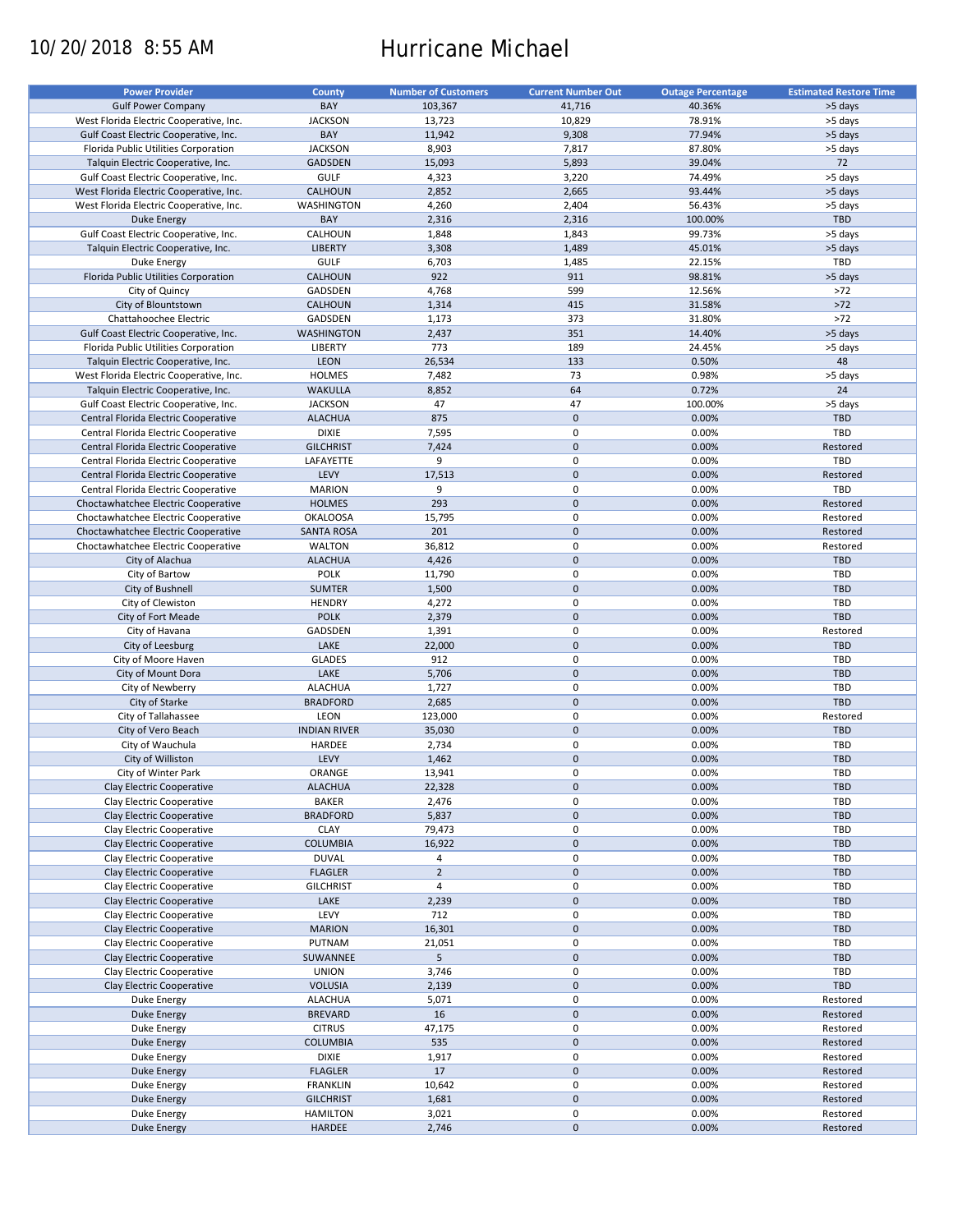# 10/20/2018 8:55 AM Hurricane Michael

| <b>Power Provider</b>                   | <b>County</b>       | <b>Number of Customers</b> | <b>Current Number Out</b> | <b>Outage Percentage</b> | <b>Estimated Restore Time</b> |
|-----------------------------------------|---------------------|----------------------------|---------------------------|--------------------------|-------------------------------|
|                                         |                     |                            |                           |                          |                               |
| <b>Gulf Power Company</b>               | BAY                 | 103,367                    | 41,716                    | 40.36%                   | >5 days                       |
| West Florida Electric Cooperative, Inc. | <b>JACKSON</b>      | 13,723                     | 10,829                    | 78.91%                   | >5 days                       |
| Gulf Coast Electric Cooperative, Inc.   | BAY                 | 11,942                     | 9,308                     | 77.94%                   | >5 days                       |
| Florida Public Utilities Corporation    | <b>JACKSON</b>      | 8,903                      | 7,817                     | 87.80%                   | >5 days                       |
| Talquin Electric Cooperative, Inc.      | GADSDEN             | 15,093                     | 5,893                     | 39.04%                   | 72                            |
| Gulf Coast Electric Cooperative, Inc.   | <b>GULF</b>         | 4,323                      | 3,220                     | 74.49%                   | >5 days                       |
|                                         |                     |                            |                           |                          |                               |
| West Florida Electric Cooperative, Inc. | CALHOUN             | 2,852                      | 2,665                     | 93.44%                   | >5 days                       |
| West Florida Electric Cooperative, Inc. | WASHINGTON          | 4,260                      | 2,404                     | 56.43%                   | >5 days                       |
| <b>Duke Energy</b>                      | BAY                 | 2,316                      | 2,316                     | 100.00%                  | TBD                           |
| Gulf Coast Electric Cooperative, Inc.   | CALHOUN             | 1,848                      | 1,843                     | 99.73%                   | >5 days                       |
| Talquin Electric Cooperative, Inc.      | <b>LIBERTY</b>      | 3,308                      | 1,489                     | 45.01%                   | >5 days                       |
| Duke Energy                             | <b>GULF</b>         | 6,703                      | 1,485                     | 22.15%                   | TBD                           |
| Florida Public Utilities Corporation    | CALHOUN             | 922                        | 911                       | 98.81%                   | >5 days                       |
|                                         |                     |                            |                           |                          |                               |
| City of Quincy                          | GADSDEN             | 4,768                      | 599                       | 12.56%                   | $>72$                         |
| City of Blountstown                     | CALHOUN             | 1,314                      | 415                       | 31.58%                   | $>72$                         |
| Chattahoochee Electric                  | GADSDEN             | 1,173                      | 373                       | 31.80%                   | $>72$                         |
| Gulf Coast Electric Cooperative, Inc.   | <b>WASHINGTON</b>   | 2,437                      | 351                       | 14.40%                   | >5 days                       |
| Florida Public Utilities Corporation    | LIBERTY             | 773                        | 189                       | 24.45%                   | >5 days                       |
| Talquin Electric Cooperative, Inc.      | LEON                | 26,534                     | 133                       | 0.50%                    | 48                            |
|                                         |                     |                            |                           |                          |                               |
| West Florida Electric Cooperative, Inc. | <b>HOLMES</b>       | 7,482                      | 73                        | 0.98%                    | >5 days                       |
| Talquin Electric Cooperative, Inc.      | <b>WAKULLA</b>      | 8,852                      | 64                        | 0.72%                    | 24                            |
| Gulf Coast Electric Cooperative, Inc.   | <b>JACKSON</b>      | 47                         | 47                        | 100.00%                  | >5 days                       |
| Central Florida Electric Cooperative    | <b>ALACHUA</b>      | 875                        | $\mathbf 0$               | 0.00%                    | <b>TBD</b>                    |
| Central Florida Electric Cooperative    | <b>DIXIE</b>        | 7,595                      | $\mathbf 0$               | 0.00%                    | TBD                           |
| Central Florida Electric Cooperative    | <b>GILCHRIST</b>    | 7,424                      | $\mathbf 0$               | 0.00%                    | Restored                      |
|                                         |                     |                            |                           |                          |                               |
| Central Florida Electric Cooperative    | LAFAYETTE           | 9                          | $\mathbf 0$               | 0.00%                    | <b>TBD</b>                    |
| Central Florida Electric Cooperative    | LEVY                | 17,513                     | $\mathbf 0$               | 0.00%                    | Restored                      |
| Central Florida Electric Cooperative    | <b>MARION</b>       | 9                          | $\mathbf 0$               | 0.00%                    | TBD                           |
| Choctawhatchee Electric Cooperative     | <b>HOLMES</b>       | 293                        | $\mathbf 0$               | 0.00%                    | Restored                      |
| Choctawhatchee Electric Cooperative     | <b>OKALOOSA</b>     | 15,795                     | $\mathbf 0$               | 0.00%                    | Restored                      |
| Choctawhatchee Electric Cooperative     | <b>SANTA ROSA</b>   | 201                        | $\mathbf 0$               | 0.00%                    | Restored                      |
| Choctawhatchee Electric Cooperative     | <b>WALTON</b>       | 36,812                     | 0                         | 0.00%                    | Restored                      |
|                                         |                     |                            |                           |                          |                               |
| City of Alachua                         | <b>ALACHUA</b>      | 4,426                      | $\mathbf 0$               | 0.00%                    | <b>TBD</b>                    |
| City of Bartow                          | <b>POLK</b>         | 11,790                     | 0                         | 0.00%                    | TBD                           |
| City of Bushnell                        | <b>SUMTER</b>       | 1,500                      | $\mathbf 0$               | 0.00%                    | <b>TBD</b>                    |
| City of Clewiston                       | <b>HENDRY</b>       | 4,272                      | 0                         | 0.00%                    | TBD                           |
| City of Fort Meade                      | <b>POLK</b>         | 2,379                      | $\mathbf 0$               | 0.00%                    | <b>TBD</b>                    |
| City of Havana                          | GADSDEN             | 1,391                      | $\pmb{0}$                 | 0.00%                    | Restored                      |
|                                         |                     |                            | $\mathbf 0$               |                          |                               |
| City of Leesburg                        | LAKE                | 22,000                     |                           | 0.00%                    | <b>TBD</b>                    |
| City of Moore Haven                     | <b>GLADES</b>       | 912                        | 0                         | 0.00%                    | TBD                           |
| City of Mount Dora                      | LAKE                | 5,706                      | $\pmb{0}$                 | 0.00%                    | <b>TBD</b>                    |
| City of Newberry                        | <b>ALACHUA</b>      | 1,727                      | $\pmb{0}$                 | 0.00%                    | TBD                           |
| City of Starke                          | <b>BRADFORD</b>     | 2,685                      | $\mathbf 0$               | 0.00%                    | <b>TBD</b>                    |
| City of Tallahassee                     | LEON                | 123,000                    | $\mathbf 0$               | 0.00%                    | Restored                      |
| City of Vero Beach                      | <b>INDIAN RIVER</b> | 35,030                     | $\mathbf 0$               | 0.00%                    | <b>TBD</b>                    |
| City of Wauchula                        | HARDEE              |                            | 0                         | 0.00%                    | <b>TBD</b>                    |
|                                         |                     | 2,734                      |                           |                          |                               |
| City of Williston                       | LEVY                | 1,462                      | $\mathbf 0$               | 0.00%                    | <b>TBD</b>                    |
| City of Winter Park                     | ORANGE              | 13,941                     | $\mathbf 0$               | 0.00%                    | TBD                           |
| Clay Electric Cooperative               | <b>ALACHUA</b>      | 22,328                     | $\pmb{0}$                 | 0.00%                    | TBD                           |
| Clay Electric Cooperative               | <b>BAKER</b>        | 2,476                      | 0                         | 0.00%                    | TBD                           |
| Clay Electric Cooperative               | <b>BRADFORD</b>     | 5,837                      | 0                         | 0.00%                    | <b>TBD</b>                    |
| Clay Electric Cooperative               | <b>CLAY</b>         | 79,473                     | 0                         | 0.00%                    | TBD                           |
|                                         |                     |                            | $\pmb{0}$                 | 0.00%                    | TBD                           |
| Clay Electric Cooperative               | <b>COLUMBIA</b>     | 16,922                     |                           |                          |                               |
| Clay Electric Cooperative               | <b>DUVAL</b>        | 4                          | 0                         | 0.00%                    | TBD                           |
| Clay Electric Cooperative               | <b>FLAGLER</b>      | $\overline{2}$             | $\pmb{0}$                 | 0.00%                    | TBD                           |
| Clay Electric Cooperative               | <b>GILCHRIST</b>    | $\sqrt{4}$                 | 0                         | 0.00%                    | TBD                           |
| Clay Electric Cooperative               | LAKE                | 2,239                      | $\pmb{0}$                 | 0.00%                    | <b>TBD</b>                    |
| Clay Electric Cooperative               | LEVY                | 712                        | 0                         | 0.00%                    | TBD                           |
| Clay Electric Cooperative               | <b>MARION</b>       | 16,301                     | $\pmb{0}$                 | 0.00%                    | <b>TBD</b>                    |
| Clay Electric Cooperative               | PUTNAM              | 21,051                     | 0                         | 0.00%                    | TBD                           |
|                                         |                     |                            |                           |                          |                               |
| Clay Electric Cooperative               | SUWANNEE            | 5                          | $\pmb{0}$                 | 0.00%                    | TBD                           |
| Clay Electric Cooperative               | <b>UNION</b>        | 3,746                      | 0                         | 0.00%                    | TBD                           |
| Clay Electric Cooperative               | <b>VOLUSIA</b>      | 2,139                      | $\pmb{0}$                 | 0.00%                    | TBD                           |
| Duke Energy                             | <b>ALACHUA</b>      | 5,071                      | 0                         | 0.00%                    | Restored                      |
| Duke Energy                             | <b>BREVARD</b>      | 16                         | $\pmb{0}$                 | 0.00%                    | Restored                      |
| Duke Energy                             | <b>CITRUS</b>       | 47,175                     | $\pmb{0}$                 | 0.00%                    | Restored                      |
| Duke Energy                             | <b>COLUMBIA</b>     | 535                        | $\pmb{0}$                 | 0.00%                    | Restored                      |
|                                         |                     |                            |                           |                          |                               |
| Duke Energy                             | <b>DIXIE</b>        | 1,917                      | $\mathbf 0$               | 0.00%                    | Restored                      |
| <b>Duke Energy</b>                      | <b>FLAGLER</b>      | 17                         | $\pmb{0}$                 | 0.00%                    | Restored                      |
| Duke Energy                             | <b>FRANKLIN</b>     | 10,642                     | $\mathbf 0$               | 0.00%                    | Restored                      |
| <b>Duke Energy</b>                      | <b>GILCHRIST</b>    | 1,681                      | $\pmb{0}$                 | 0.00%                    | Restored                      |
| Duke Energy                             | <b>HAMILTON</b>     | 3,021                      | $\pmb{0}$                 | 0.00%                    | Restored                      |
| <b>Duke Energy</b>                      | HARDEE              | 2,746                      | $\pmb{0}$                 | 0.00%                    | Restored                      |
|                                         |                     |                            |                           |                          |                               |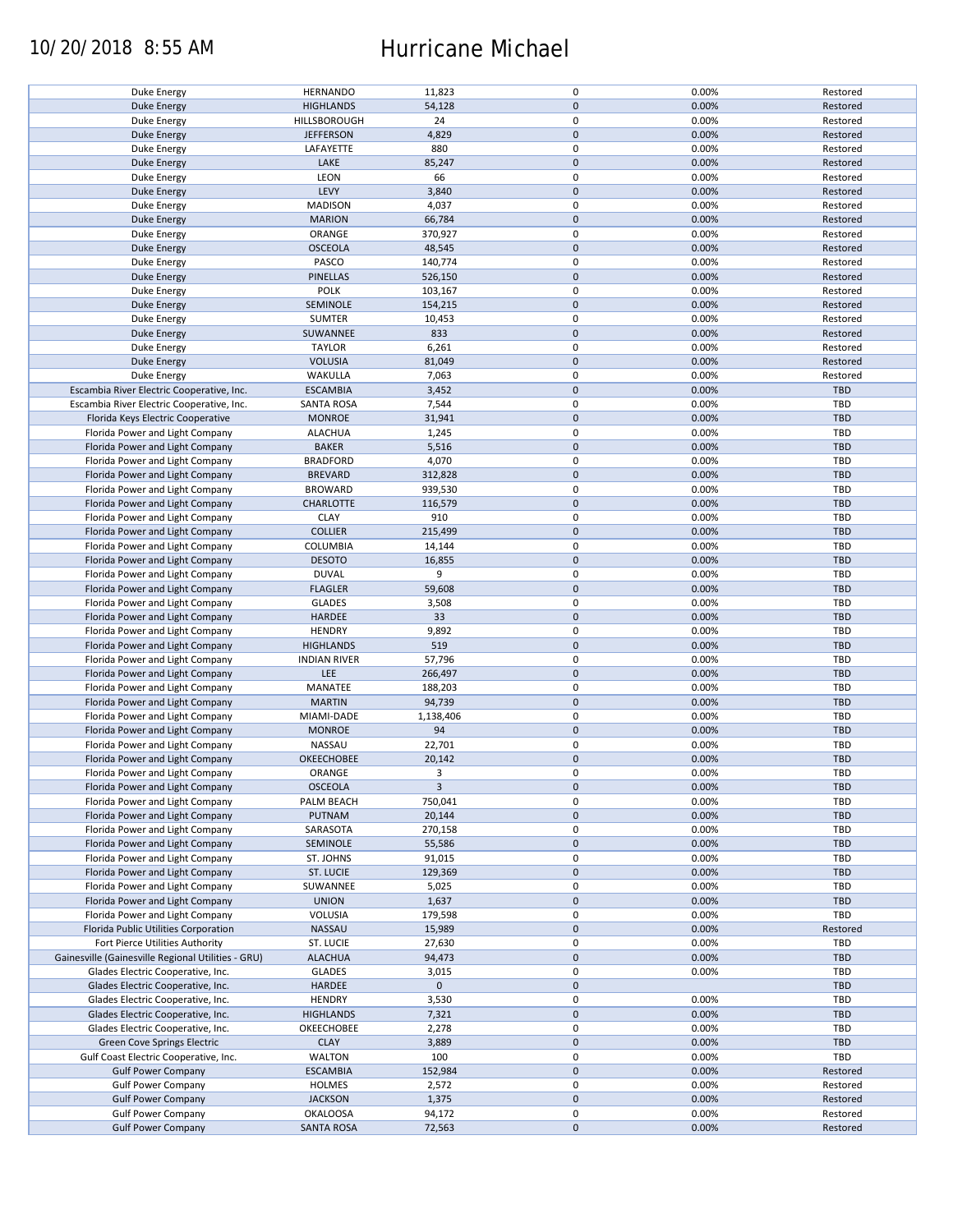## 10/20/2018 8:55 AM Hurricane Michael

| Duke Energy                                        | <b>HERNANDO</b>     | 11,823       | 0           | 0.00% | Restored   |
|----------------------------------------------------|---------------------|--------------|-------------|-------|------------|
| <b>Duke Energy</b>                                 | <b>HIGHLANDS</b>    | 54,128       | $\pmb{0}$   | 0.00% | Restored   |
|                                                    |                     |              |             |       |            |
| Duke Energy                                        | HILLSBOROUGH        | 24           | 0           | 0.00% | Restored   |
| Duke Energy                                        | <b>JEFFERSON</b>    | 4,829        | $\mathbf 0$ | 0.00% | Restored   |
|                                                    |                     | 880          | 0           | 0.00% |            |
| Duke Energy                                        | LAFAYETTE           |              |             |       | Restored   |
| <b>Duke Energy</b>                                 | LAKE                | 85,247       | $\mathbf 0$ | 0.00% | Restored   |
| Duke Energy                                        | LEON                | 66           | 0           | 0.00% | Restored   |
|                                                    |                     |              |             |       |            |
| <b>Duke Energy</b>                                 | LEVY                | 3,840        | $\mathbf 0$ | 0.00% | Restored   |
| Duke Energy                                        | <b>MADISON</b>      | 4,037        | 0           | 0.00% | Restored   |
| Duke Energy                                        | <b>MARION</b>       | 66,784       | $\mathbf 0$ | 0.00% | Restored   |
|                                                    |                     |              |             |       |            |
| Duke Energy                                        | ORANGE              | 370,927      | 0           | 0.00% | Restored   |
| <b>Duke Energy</b>                                 | <b>OSCEOLA</b>      | 48,545       | $\mathbf 0$ | 0.00% | Restored   |
|                                                    |                     |              |             |       |            |
| Duke Energy                                        | PASCO               | 140,774      | 0           | 0.00% | Restored   |
| Duke Energy                                        | PINELLAS            | 526,150      | $\mathbf 0$ | 0.00% | Restored   |
| Duke Energy                                        | <b>POLK</b>         | 103,167      | 0           | 0.00% | Restored   |
|                                                    |                     |              |             |       |            |
| <b>Duke Energy</b>                                 | SEMINOLE            | 154,215      | $\pmb{0}$   | 0.00% | Restored   |
| Duke Energy                                        | <b>SUMTER</b>       | 10,453       | 0           | 0.00% | Restored   |
|                                                    |                     | 833          | $\mathbf 0$ | 0.00% |            |
| <b>Duke Energy</b>                                 | SUWANNEE            |              |             |       | Restored   |
| Duke Energy                                        | <b>TAYLOR</b>       | 6,261        | 0           | 0.00% | Restored   |
| <b>Duke Energy</b>                                 | <b>VOLUSIA</b>      | 81,049       | $\pmb{0}$   | 0.00% | Restored   |
|                                                    |                     |              |             |       |            |
| Duke Energy                                        | WAKULLA             | 7,063        | 0           | 0.00% | Restored   |
| Escambia River Electric Cooperative, Inc.          | <b>ESCAMBIA</b>     | 3,452        | $\mathbf 0$ | 0.00% | TBD        |
| Escambia River Electric Cooperative, Inc.          | <b>SANTA ROSA</b>   | 7,544        | 0           | 0.00% | TBD        |
|                                                    |                     |              |             |       |            |
| Florida Keys Electric Cooperative                  | <b>MONROE</b>       | 31,941       | $\pmb{0}$   | 0.00% | <b>TBD</b> |
| Florida Power and Light Company                    | <b>ALACHUA</b>      | 1,245        | 0           | 0.00% | TBD        |
|                                                    | <b>BAKER</b>        |              | $\pmb{0}$   | 0.00% | <b>TBD</b> |
| Florida Power and Light Company                    |                     | 5,516        |             |       |            |
| Florida Power and Light Company                    | <b>BRADFORD</b>     | 4,070        | $\mathbf 0$ | 0.00% | TBD        |
| Florida Power and Light Company                    | <b>BREVARD</b>      | 312,828      | $\pmb{0}$   | 0.00% | <b>TBD</b> |
|                                                    |                     |              |             |       |            |
| Florida Power and Light Company                    | <b>BROWARD</b>      | 939,530      | 0           | 0.00% | TBD        |
| Florida Power and Light Company                    | <b>CHARLOTTE</b>    | 116,579      | $\pmb{0}$   | 0.00% | <b>TBD</b> |
| Florida Power and Light Company                    | <b>CLAY</b>         | 910          | 0           | 0.00% | <b>TBD</b> |
|                                                    |                     |              |             |       |            |
| Florida Power and Light Company                    | <b>COLLIER</b>      | 215,499      | $\pmb{0}$   | 0.00% | <b>TBD</b> |
| Florida Power and Light Company                    | COLUMBIA            | 14,144       | 0           | 0.00% | <b>TBD</b> |
| Florida Power and Light Company                    | <b>DESOTO</b>       | 16,855       | $\mathbf 0$ | 0.00% | <b>TBD</b> |
|                                                    |                     |              |             |       |            |
| Florida Power and Light Company                    | <b>DUVAL</b>        | 9            | 0           | 0.00% | <b>TBD</b> |
| Florida Power and Light Company                    | <b>FLAGLER</b>      | 59,608       | $\pmb{0}$   | 0.00% | <b>TBD</b> |
|                                                    |                     |              |             |       |            |
| Florida Power and Light Company                    | <b>GLADES</b>       | 3,508        | 0           | 0.00% | <b>TBD</b> |
| Florida Power and Light Company                    | <b>HARDEE</b>       | 33           | $\pmb{0}$   | 0.00% | <b>TBD</b> |
| Florida Power and Light Company                    | <b>HENDRY</b>       | 9,892        | 0           | 0.00% | TBD        |
|                                                    |                     |              |             |       |            |
| Florida Power and Light Company                    | <b>HIGHLANDS</b>    | 519          | $\mathbf 0$ | 0.00% | <b>TBD</b> |
| Florida Power and Light Company                    | <b>INDIAN RIVER</b> | 57,796       | $\pmb{0}$   | 0.00% | <b>TBD</b> |
| Florida Power and Light Company                    | LEE                 | 266,497      | $\mathbf 0$ | 0.00% | <b>TBD</b> |
|                                                    |                     |              |             |       |            |
| Florida Power and Light Company                    | MANATEE             | 188,203      | 0           | 0.00% | TBD        |
| Florida Power and Light Company                    | <b>MARTIN</b>       | 94,739       | $\mathbf 0$ | 0.00% | <b>TBD</b> |
|                                                    |                     |              |             |       |            |
| Florida Power and Light Company                    | MIAMI-DADE          | 1,138,406    | 0           | 0.00% | <b>TBD</b> |
| Florida Power and Light Company                    | <b>MONROE</b>       | 94           | $\mathbf 0$ | 0.00% | <b>TBD</b> |
| Florida Power and Light Company                    | NASSAU              | 22,701       | 0           | 0.00% | TBD        |
|                                                    |                     |              |             |       |            |
| Florida Power and Light Company                    | <b>OKEECHOBEE</b>   | 20,142       | $\pmb{0}$   | 0.00% | <b>TBD</b> |
| Florida Power and Light Company                    | ORANGE              | 3            | 0           | 0.00% | TBD        |
| Florida Power and Light Company                    | <b>OSCEOLA</b>      | $\mathbf{3}$ | $\pmb{0}$   | 0.00% | <b>TBD</b> |
|                                                    |                     |              |             |       |            |
| Florida Power and Light Company                    | PALM BEACH          | 750,041      | 0           | 0.00% | TBD        |
| Florida Power and Light Company                    | PUTNAM              | 20,144       | $\mathbf 0$ | 0.00% | <b>TBD</b> |
|                                                    | SARASOTA            |              | 0           | 0.00% | TBD        |
| Florida Power and Light Company                    |                     | 270,158      |             |       |            |
| Florida Power and Light Company                    | SEMINOLE            | 55,586       | 0           | 0.00% | <b>TBD</b> |
| Florida Power and Light Company                    | ST. JOHNS           | 91,015       | 0           | 0.00% | TBD        |
|                                                    |                     |              |             |       |            |
| Florida Power and Light Company                    | ST. LUCIE           | 129,369      | 0           | 0.00% | <b>TBD</b> |
| Florida Power and Light Company                    | SUWANNEE            | 5,025        | 0           | 0.00% | TBD        |
| Florida Power and Light Company                    | <b>UNION</b>        | 1,637        | 0           | 0.00% | <b>TBD</b> |
|                                                    |                     |              |             |       |            |
| Florida Power and Light Company                    | VOLUSIA             | 179,598      | 0           | 0.00% | TBD        |
| Florida Public Utilities Corporation               | NASSAU              | 15,989       | $\pmb{0}$   | 0.00% | Restored   |
|                                                    | ST. LUCIE           |              | 0           | 0.00% | TBD        |
| Fort Pierce Utilities Authority                    |                     | 27,630       |             |       |            |
| Gainesville (Gainesville Regional Utilities - GRU) | <b>ALACHUA</b>      | 94,473       | $\pmb{0}$   | 0.00% | <b>TBD</b> |
| Glades Electric Cooperative, Inc.                  | <b>GLADES</b>       | 3,015        | 0           | 0.00% | TBD        |
|                                                    |                     |              |             |       |            |
| Glades Electric Cooperative, Inc.                  | <b>HARDEE</b>       | $\mathbf 0$  | $\pmb{0}$   |       | <b>TBD</b> |
| Glades Electric Cooperative, Inc.                  | <b>HENDRY</b>       | 3,530        | 0           | 0.00% | TBD        |
| Glades Electric Cooperative, Inc.                  | <b>HIGHLANDS</b>    | 7,321        | $\pmb{0}$   | 0.00% | <b>TBD</b> |
|                                                    |                     |              |             |       |            |
| Glades Electric Cooperative, Inc.                  | OKEECHOBEE          | 2,278        | 0           | 0.00% | TBD        |
| Green Cove Springs Electric                        | <b>CLAY</b>         | 3,889        | $\pmb{0}$   | 0.00% | <b>TBD</b> |
| Gulf Coast Electric Cooperative, Inc.              | WALTON              | 100          | 0           | 0.00% | TBD        |
|                                                    |                     |              |             |       |            |
| <b>Gulf Power Company</b>                          | <b>ESCAMBIA</b>     | 152,984      | 0           | 0.00% | Restored   |
| <b>Gulf Power Company</b>                          | <b>HOLMES</b>       | 2,572        | 0           | 0.00% | Restored   |
| <b>Gulf Power Company</b>                          | <b>JACKSON</b>      | 1,375        | $\pmb{0}$   | 0.00% | Restored   |
|                                                    |                     |              |             |       |            |
| <b>Gulf Power Company</b>                          | <b>OKALOOSA</b>     | 94,172       | 0           | 0.00% | Restored   |
| <b>Gulf Power Company</b>                          | <b>SANTA ROSA</b>   | 72,563       | $\pmb{0}$   | 0.00% | Restored   |
|                                                    |                     |              |             |       |            |